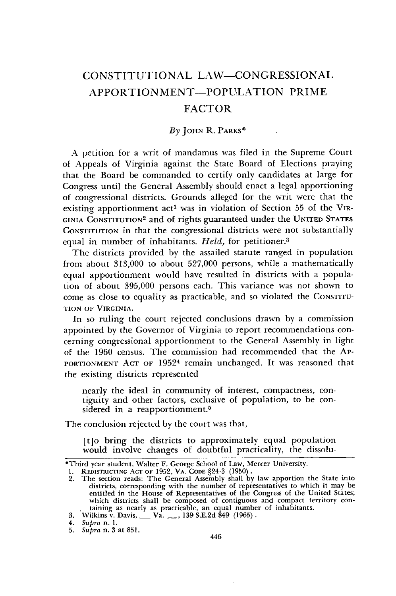## CONSTITUTIONAL LAW-CONGRESSIONAL APPORTION **MENT-POPULATION** PRIME FACTOR

## *By* JOHN R. PARKS\*

A petition for a writ of mandamus was filed in the Supreme Court of Appeals of Virginia against the State Board of Elections praying that the Board be commanded to certify only candidates at large for Congress until the General Assembly should enact a legal apportioning of congressional districts. Grounds alleged for the writ were that the existing apportionment act' was in violation of Section 55 of the VIR-GINIA CONSTITUTION<sup>2</sup> and of rights guaranteed under the UNITED STATES **CONSTITUTION** in that the congressional districts were not substantially equal in number of inhabitants. *Held*, for petitioner.<sup>3</sup>

The districts provided by the assailed statute ranged in population from about 313,000 to about 527,000 persons, while a mathematically equal apportionment would have resulted in districts with a population of about 395,000 persons each. This variance was not shown to come as close to equality as practicable, and so violated the **CONSTITU-TION** OF VIRGINIA.

In so ruling the court rejected conclusions drawn by a commission appointed by the Governor of Virginia to report recommendations concerning congressional apportionment to the General Assembly in light of the 1960 census. The commission had recommended that the AP-PORTIONMENT ACT OF 1952<sup>4</sup> remain unchanged. It was reasoned that the existing districts represented

nearly the ideal in community of interest, compactness, contiguity and other factors, exclusive of population, to be considered in a reapportionment.<sup>5</sup>

The conclusion rejected by the court was that,

[t]o bring the districts to approximately equal population would involve changes of doubtful practicality, the dissolu-

<sup>\*</sup>Third year student, Walter F. George School of Law, Mercer University.

<sup>1.</sup> REDISTRICING AcT OF **1952,** VA. **CODE** §24-3 (1950). 2. The section reads: The General Assembly shall by law apportion the State into districts, corresponding with the number of representatives to which it may be entitled in the House of Representatives of the Congress of the United States; which districts shall be composed of contiguous and compact territory containing as nearly as practicable, an equal number of inhabitants.

**<sup>3.</sup>** Wilkins v. Davis, **-** Va. **-,** 139 S.E.2d 849 (1965).

*<sup>4.</sup> Supra* n. 1.

*<sup>5.</sup> Supra* n. **3** at 851.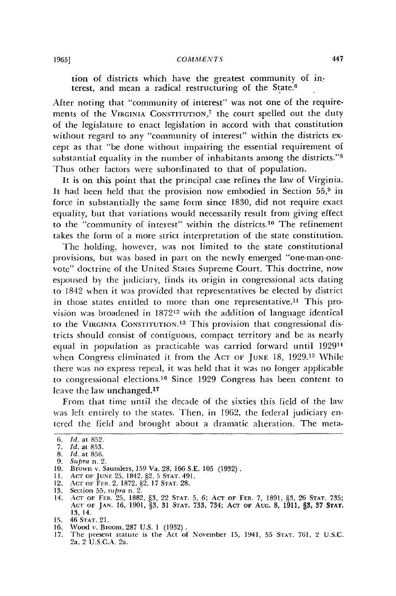tion of districts which have the greatest community of in. terest, and mean a radical restructuring of the State.6

After noting that "community of interest" was not one of the requirements of the VIRGINIA CONSTITUTION,<sup>7</sup> the court spelled out the duty of the legislature to enact legislation in accord with that constitution without regard to any "community of interest" within the districts except as that "be done without impairing the essential requirement of substantial equality in the number of inhabitants among the districts."<sup>8</sup> Thus other factors were subordinated to that of population.

It is on this point that the principal case refines the law of Virginia. It had been held that the provision now embodied in Section 55,9 in force in substantially the same form since 1830, did not require exact equality, but that variations would necessarily result from giving effect to the "community of interest" within the districts.10 The refinement takes the form of a more strict interpretation of the state constitution.

The holding, however, was not limited to the state constitutional provisions, but was based in part on the newly emerged "one-man-onevote" doctrine of the United States Supreme Court. This doctrine, now espoused by the judiciary, finds its origin in congressional acts dating to 1842 when it was provided that representatives be elected by district in those states entitled to more than one representative.<sup>11</sup> This provision was broadened in 187212 with the addition of language identical to the **VIRGINIA CONSTITUTION.1 <sup>3</sup>**This provision that congressional districts should consist of contiguous, compact territory and be as nearly equal in population as practicable was carried forward until 192914 when Congress eliminated it from the **ACT OF JUNE** 18, **1929.15** While there was no express repeal, it was held that it was no longer applicable to congressional elections.<sup>16</sup> Since 1929 Congress has been content to leave the law unchanged.<sup>17</sup>

From that time until the decade of the sixties this field of the law was left entirely to the states. Then, in 1962, the federal judiciary entered the field and brought about a dramatic alteration. The meta-

- 
- 

<sup>6.</sup> *Id.* at 852.

*<sup>7.</sup> Id.* at 853.

<sup>8.</sup> *Id.* at 856.

<sup>9.</sup> *Supra* n. 2. **10.** Brown v. Saunders, 159 Va. 28, 166 S.E. 105 (1932). **11. ACT OF JUNE** 25, 1842, §2 , 5 **STAT.** 491. 12. **ACT** oF FrB. 2, 1872, §2, 17 **STAT.** 28.

<sup>13.</sup> Section 55, supra n. 2.<br>14. Act of Feb. 25, 1882, §3, 22 Stat. 5, 6; Act of Feb. 7, 1891, §3, 26 Stat. 735<br>Act of Jan. 16, 1901, §3, 31 Stat. 733, 734; Act of Aug. 8, 1911, §3, 37 Stat 13, 14.

<sup>15. 46</sup> **STAT.** 21. **16.** Wood v. Broom, 287 U.S. 1 (1932).

<sup>17.</sup> The present statute is the Act **of** November **15,** 1941, 55 **STAT. 761,** 2 U.S.C. 2a, 2 U.S.C.A. 2a.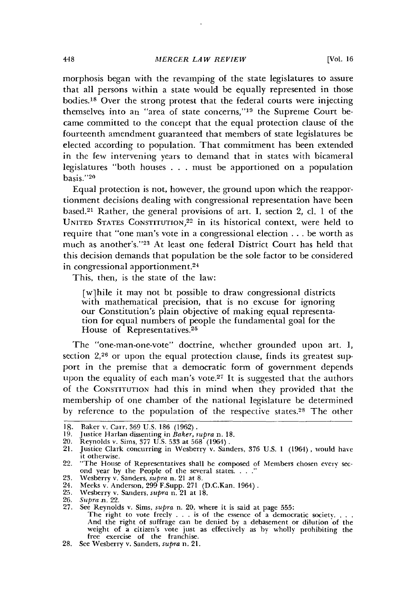morphosis began with the revamping of the state legislatures to assure that all persons within a state would be equally represented in those bodies.<sup>18</sup> Over the strong protest that the federal courts were injecting themselves into an "area of state concerns,"19 the Supreme Court became committed to the concept that the equal protection clause of the fourteenth amendment guaranteed that members of state legislatures be elected according to population. That commitment has been extended in the few intervening years to demand that in states with bicameral legislatures "both houses . . must be apportioned on a population basis."20

Equal protection is not, however, the ground upon which the reapportionment decisions dealing with congressional representation have been based. 21 Rather, the general provisions of art. **I,** section 2, cl. **1** of the UNITED STATES CONSTITUTION,<sup>22</sup> in its historical context, were held to require that "one man's vote in a congressional election **...** be worth as much as another's."<sup>23</sup> At least one federal District Court has held that this decision demands that population be the sole factor to be considered in congressional apportionment.<sup>24</sup>

This, then, is the state of the law:

[w]hile it may not bt possible to draw congressional districts with mathematical precision, that is no excuse for ignoring our Constitution's plain objective of making equal representation for equal numbers of people the fundamental goal for the House of Representatives.<sup>25</sup>

The "one-man-one-vote" doctrine, whether grounded upon art. *1,* section 2,<sup>26</sup> or upon the equal protection clause, finds its greatest support in the premise that a democratic forn of government depends upon the equality of each man's vote.<sup>27</sup> It is suggested that the authors of the **CONSTITUTION** had this in mind when they provided that the membership of one chamber of the national legislature be determined by reference to the population of the respective states.<sup>28</sup> The other

<sup>18.</sup> Baker v. Carr. 369 U.S. 186 (1962).

<sup>19.</sup> Justice Harlan dissenting in *Baker, supra* n. 18.

<sup>20.</sup> Reynolds v. Sims, 377 **U.S.** 533 at 568 (1964) **.**

<sup>21.</sup> Justice Clark concurring in Vesberry v. Sanders, 376 U.S. 1 (1964) *,* would have it otherwise.

<sup>22. &</sup>quot;The House of Representatives shall be composed of Members chosen every second year by the People of the several states. . . ."

<sup>23.</sup> Wesberry v. Sanders, *supra* n. 21 at 8.

<sup>24.</sup> Meeks v. Anderson, 299 F.Supp. 271 (D.C.Kan. 1964). 25. Wesberry v. Sanders, *supra* n. 21 at 18.

<sup>25.</sup> Wesberry v.<br>26. *Supra* n. 22.

<sup>27.</sup> See Reynolds v. Sims, *supra* n. 20, where it is said at page 555:

The right to vote freely . . . is of the essence of a democratic society. . . . And the right of suffrage can be denied **by** a debasement or dilution of the weight of a citizen's vote just as effectively as by wholly prohibiting the free exercise of the franchise.

<sup>28.</sup> See Wesberry v. Sanders, *supra* n. 21.